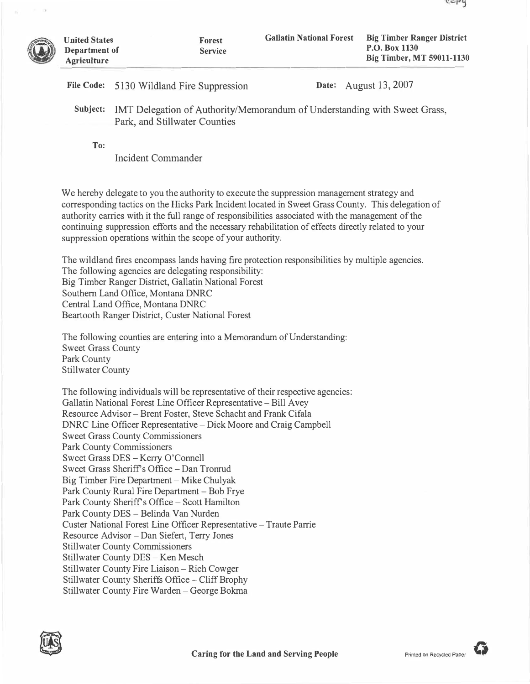|     | File Code: 5130 Wildland Fire Suppression                                                                           |  | <b>Date:</b> August 13, 2007 |  |
|-----|---------------------------------------------------------------------------------------------------------------------|--|------------------------------|--|
|     | Subject: IMT Delegation of Authority/Memorandum of Understanding with Sweet Grass,<br>Park, and Stillwater Counties |  |                              |  |
| To: |                                                                                                                     |  |                              |  |

**Forest Service** 

Incident Commander

We hereby delegate to you the authority to execute the suppression management strategy and corresponding tactics on the Hicks Park Incident located in Sweet Grass County. This delegation of authority carries with it the full range of responsibilities associated with the management of the continuing suppression efforts and the necessary rehabilitation of effects directly related to your suppression operations within the scope of your authority.

The wildland fires encompass lands having fire protection responsibilities by multiple agencies. The following agencies are delegating responsibility: Big Timber Ranger District, Gallatin National Forest Southern Land Office, Montana DNRC Central Land Office, Montana DNRC Beartooth Ranger District, Custer National Forest

The following counties are entering into a Memorandum of Understanding: Sweet Grass County Park County Stillwater County

The following individuals will be representative of their respective agencies: Gallatin National Forest Line Officer Representative-Bill Avey Resource Advisor -Brent Foster, Steve Schacht and Frank Cifala DNRC Line Officer Representative – Dick Moore and Craig Campbell Sweet Grass County Commissioners Park County Commissioners Sweet Grass DES - Kerry O'Connell Sweet Grass Sheriff's Office - Dan Tronrud Big Timber Fire Department - Mike Chulyak Park County Rural Fire Department - Bob Frye Park County Sheriff's Office - Scott Hamilton Park County DES - Belinda Van Nurden Custer National Forest Line Officer Representative-Traute Parrie Resource Advisor -Dan Siefert, Terry Jones Stillwater County Commissioners Stillwater County DES - Ken Mesch Stillwater County Fire Liaison – Rich Cowger Stillwater County Sheriffs Office - Cliff Brophy Stillwater County Fire Warden - George Bokma



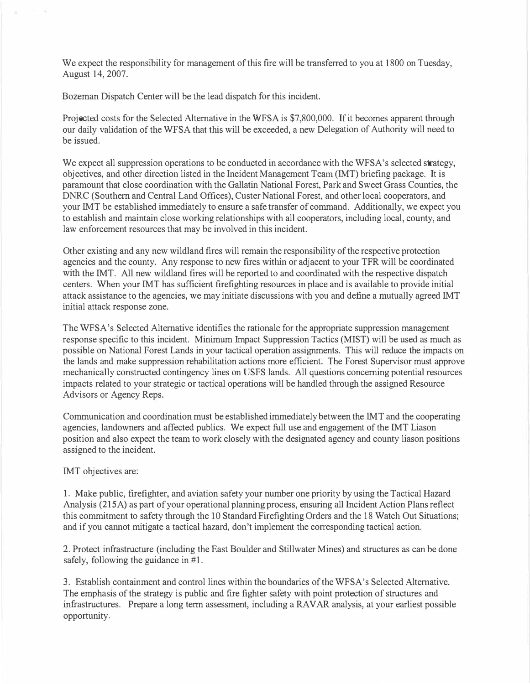We expect the responsibility for management of this fire will be transferred to you at 1800 on Tuesday, August 14, 2007.

Bozeman Dispatch Center will be the lead dispatch for this incident.

Projected costs for the Selected Alternative in the WFSA is \$7,800,000. If it becomes apparent through our daily validation of the WFSA that this will be exceeded, a new Delegation of Authority will need to be issued.

We expect all suppression operations to be conducted in accordance with the WFSA's selected strategy, objectives, and other direction listed in the Incident Management Team (lMT) briefing package. It is paramount that close coordination with the Gallatin National Forest, Park and Sweet Grass Counties, the DNRC (Southern and Central Land Offices), Custer National Forest, and other local cooperators, and your IMT be established immediately to ensure a safe transfer of command. Additionally, we expect you to establish and maintain close working relationships with all cooperators, including local, county, and law enforcement resources that may be involved in this incident.

Other existing and any new wildland fires will remain the responsibility of the respective protection agencies and the county. Any response to new fires within or adjacent to your TFR will be coordinated with the IMT. All new wildland fires will be reported to and coordinated with the respective dispatch centers. When your IMT has sufficient firefighting resources in place and is available to provide initial attack assistance to the agencies, we may initiate discussions with you and define a mutually agreed IMT initial attack response zone.

The WFSA's Selected Alternative identifies the rationale for the appropriate suppression management response specific to this incident. Minimum Impact Suppression Tactics (MIST) will be used as much as possible on National Forest Lands in your tactical operation assignments. This will reduce the impacts on the lands and make suppression rehabilitation actions more efficient. The Forest Supervisor must approve mechanically constructed contingency lines on USFS lands. All questions concerning potential resources impacts related to your strategic or tactical operations will be handled through the assigned Resource Advisors or Agency Reps.

Communication and coordination must be established immediately between the lMT and the cooperating agencies, landowners and affected publics. We expect full use and engagement of the IMT Liason position and also expect the team to work closely with the designated agency and county liason positions assigned to the incident.

## IMT objectives are:

I. Make public, firefighter, and aviation safety your number one priority by using the Tactical Hazard Analysis (215A) as part of your operational planning process, ensuring all Incident Action Plans reflect this commitment to safety through the IO Standard Firefighting Orders and the 18 Watch Out Situations; and if you cannot mitigate a tactical hazard, don't implement the corresponding tactical action.

2. Protect infrastructure (including the East Boulder and Stillwater Mines) and structures as can be done safely, following the guidance in #1.

3. Establish containment and control lines within the boundaries of the WFSA's Selected Alternative. The emphasis of the strategy is public and fire fighter safety with point protection of structures and infrastructures. Prepare a long term assessment, including a RAV AR analysis, at your earliest possible opportunity.